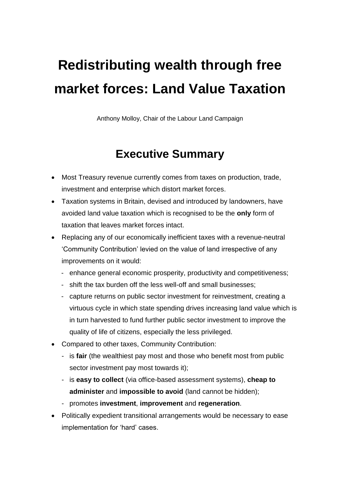# **Redistributing wealth through free market forces: Land Value Taxation**

Anthony Molloy, Chair of the Labour Land Campaign

# **Executive Summary**

- Most Treasury revenue currently comes from taxes on production, trade, investment and enterprise which distort market forces.
- Taxation systems in Britain, devised and introduced by landowners, have avoided land value taxation which is recognised to be the **only** form of taxation that leaves market forces intact.
- Replacing any of our economically inefficient taxes with a revenue-neutral 'Community Contribution' levied on the value of land irrespective of any improvements on it would:
	- enhance general economic prosperity, productivity and competitiveness;
	- shift the tax burden off the less well-off and small businesses;
	- capture returns on public sector investment for reinvestment, creating a virtuous cycle in which state spending drives increasing land value which is in turn harvested to fund further public sector investment to improve the quality of life of citizens, especially the less privileged.
- Compared to other taxes, Community Contribution:
	- is **fair** (the wealthiest pay most and those who benefit most from public sector investment pay most towards it);
	- is **easy to collect** (via office-based assessment systems), **cheap to administer** and **impossible to avoid** (land cannot be hidden);
	- promotes **investment**, **improvement** and **regeneration**.
- Politically expedient transitional arrangements would be necessary to ease implementation for 'hard' cases.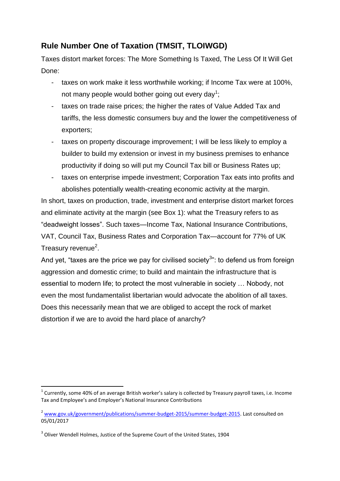## **Rule Number One of Taxation (TMSIT, TLOIWGD)**

Taxes distort market forces: The More Something Is Taxed, The Less Of It Will Get Done:

- taxes on work make it less worthwhile working; if Income Tax were at 100%, not many people would bother going out every day<sup>1</sup>;
- taxes on trade raise prices; the higher the rates of Value Added Tax and tariffs, the less domestic consumers buy and the lower the competitiveness of exporters;
- taxes on property discourage improvement; I will be less likely to employ a builder to build my extension or invest in my business premises to enhance productivity if doing so will put my Council Tax bill or Business Rates up;
- taxes on enterprise impede investment; Corporation Tax eats into profits and abolishes potentially wealth-creating economic activity at the margin.

In short, taxes on production, trade, investment and enterprise distort market forces and eliminate activity at the margin (see Box 1): what the Treasury refers to as "deadweight losses". Such taxes—Income Tax, National Insurance Contributions, VAT, Council Tax, Business Rates and Corporation Tax—account for 77% of UK Treasury revenue<sup>2</sup>.

And yet, "taxes are the price we pay for civilised society $^{3}$ ": to defend us from foreign aggression and domestic crime; to build and maintain the infrastructure that is essential to modern life; to protect the most vulnerable in society … Nobody, not even the most fundamentalist libertarian would advocate the abolition of all taxes. Does this necessarily mean that we are obliged to accept the rock of market distortion if we are to avoid the hard place of anarchy?

1

 $1$  Currently, some 40% of an average British worker's salary is collected by Treasury payroll taxes, i.e. Income Tax and Employee's and Employer's National Insurance Contributions

<sup>&</sup>lt;sup>2</sup> [www.gov.uk/government/publications/summer-budget-2015/summer-budget-2015.](http://www.gov.uk/government/publications/summer-budget-2015/summer-budget-2015) Last consulted on 05/01/2017

 $3$  Oliver Wendell Holmes[, Justice of the Supreme Court of the United States,](https://en.wikipedia.org/wiki/Associate_Justice_of_the_Supreme_Court_of_the_United_States) 1904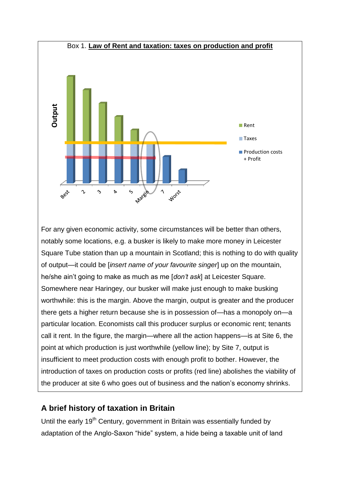

For any given economic activity, some circumstances will be better than others, notably some locations, e.g. a busker is likely to make more money in Leicester Square Tube station than up a mountain in Scotland; this is nothing to do with quality of output—it could be [*insert name of your favourite singer*] up on the mountain, he/she ain't going to make as much as me [*don't ask*] at Leicester Square. Somewhere near Haringey, our busker will make just enough to make busking worthwhile: this is the margin. Above the margin, output is greater and the producer there gets a higher return because she is in possession of—has a monopoly on—a particular location. Economists call this producer surplus or economic rent; tenants call it rent. In the figure, the margin—where all the action happens—is at Site 6, the point at which production is just worthwhile (yellow line); by Site 7, output is insufficient to meet production costs with enough profit to bother. However, the introduction of taxes on production costs or profits (red line) abolishes the viability of the producer at site 6 who goes out of business and the nation's economy shrinks. **Example 12**<br> **Example 12**<br> **Example 12**<br> **Example 12**<br> **Example 12**<br> **Example 12**<br> **Example 12**<br> **Example 12**<br> **Example 12**<br> **Example 12**<br> **Example 12**<br> **Example 12**<br> **Example 12**<br> **Example 12**<br> **Example 12**<br> **Example 12** 

### **A brief history of taxation in Britain**

Until the early 19<sup>th</sup> Century, government in Britain was essentially funded by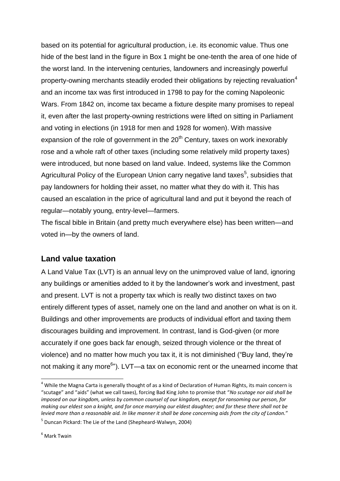based on its potential for agricultural production, i.e. its economic value. Thus one hide of the best land in the figure in Box 1 might be one-tenth the area of one hide of the worst land. In the intervening centuries, landowners and increasingly powerful property-owning merchants steadily eroded their obligations by rejecting revaluation<sup>4</sup> and an income tax was first introduced in 1798 to pay for the coming [Napoleonic](https://en.wikipedia.org/wiki/Napoleonic_Wars)  [Wars.](https://en.wikipedia.org/wiki/Napoleonic_Wars) From 1842 on, income tax became a fixture despite many promises to repeal it, even after the last property-owning restrictions were lifted on sitting in Parliament and voting in elections (in 1918 for men and 1928 for women). With massive expansion of the role of government in the  $20<sup>th</sup>$  Century, taxes on work inexorably rose and a whole raft of other taxes (including some relatively mild property taxes) were introduced, but none based on land value. Indeed, systems like the Common Agricultural Policy of the European Union carry negative land taxes<sup>5</sup>, subsidies that pay landowners for holding their asset, no matter what they do with it. This has caused an escalation in the price of agricultural land and put it beyond the reach of regular—notably young, entry-level—farmers.

The fiscal bible in Britain (and pretty much everywhere else) has been written—and voted in—by the owners of land.

#### **Land value taxation**

A Land Value Tax (LVT) is an annual levy on the unimproved value of land, ignoring any buildings or amenities added to it by the landowner's work and investment, past and present. LVT is not a property tax which is really two distinct taxes on two entirely different types of asset, namely one on the land and another on what is on it. Buildings and other improvements are products of individual effort and taxing them discourages building and improvement. In contrast, land is God-given (or more accurately if one goes back far enough, seized through violence or the threat of violence) and no matter how much you tax it, it is not diminished ("Buy land, they're not making it any more<sup>6</sup>"). LVT—a tax on economic rent or the unearned income that

 $4$  While the Magna Carta is generally thought of as a kind of Declaration of Human Rights, its main concern is "scutage" and "aids" (what we call taxes), forcing Bad King John to promise that "*No scutage nor aid shall be imposed on our kingdom, unless by common counsel of our kingdom, except for ransoming our person, for making our eldest son a knight, and for once marrying our eldest daughter; and for these there shall not be levied more than a reasonable aid. In like manner it shall be done concerning aids from the city of London.*"

<sup>5</sup> Duncan Pickard: The Lie of the Land (Shepheard-Walwyn, 2004)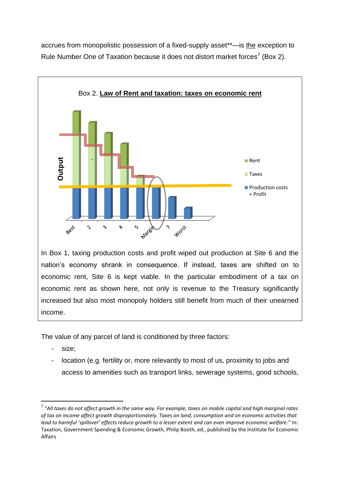accrues from monopolistic possession of a fixed-supply asset\*\*—is the exception to Rule Number One of Taxation because it does not distort market forces<sup>7</sup> (Box 2).



nation's economy shrank in consequence. If instead, taxes are shifted on to economic rent, Site 6 is kept viable. In the particular embodiment of a tax on economic rent as shown here, not only is revenue to the Treasury significantly increased but also most monopoly holders still benefit from much of their unearned income.

The value of any parcel of land is conditioned by three factors:

size:

1

- location (e.g. fertility or, more relevantly to most of us, proximity to jobs and access to amenities such as transport links, sewerage systems, good schools,

<sup>7</sup> "*All taxes do not affect growth in the same way. For example, taxes on mobile capital and high marginal rates of tax on income affect growth disproportionately. Taxes on land, consumption and on economic activities that lead to harmful 'spillover' effects reduce growth to a lesser extent and can even improve economic welfare.*" In: Taxation, Government Spending & Economic Growth, Philip Booth, ed., published by the Institute for Economic Affairs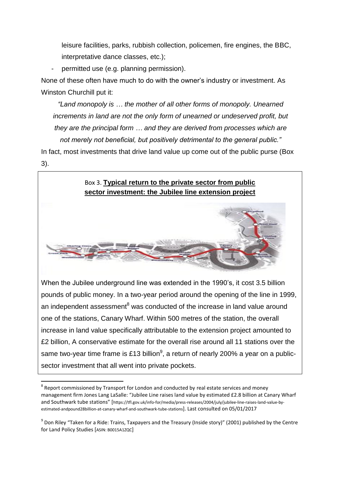leisure facilities, parks, rubbish collection, policemen, fire engines, the BBC, interpretative dance classes, etc.);

permitted use (e.g. planning permission).

None of these often have much to do with the owner's industry or investment. As Winston Churchill put it:

*"Land monopoly is … the mother of all other forms of monopoly. Unearned increments in land are not the only form of unearned or undeserved profit, but they are the principal form … and they are derived from processes which are not merely not beneficial, but positively detrimental to the general public."* In fact, most investments that drive land value up come out of the public purse (Box 3).

Box 3. **Typical return to the private sector from public sector investment: the Jubilee line extension project**

When the Jubilee underground line was extended in the 1990's, it cost 3.5 billion pounds of public money. In a two-year period around the opening of the line in 1999, an independent assessment<sup>8</sup> was conducted of the increase in land value around one of the stations, Canary Wharf. Within 500 metres of the station, the overall increase in land value specifically attributable to the extension project amounted to £2 billion, A conservative estimate for the overall rise around all 11 stations over the same two-year time frame is £13 billion<sup>9</sup>, a return of nearly 200% a year on a publicsector investment that all went into private pockets.

 $8$  Report commissioned by Transport for London and conducted by real estate services and money management firm Jones Lang LaSalle: "Jubilee Line raises land value by estimated £2.8 billion at Canary Wharf and Southwark tube stations" [https://tfl.gov.uk/info-for/media/press-releases/2004/july/jubilee-line-raises-land-value-byestimated-andpound28billion-at-canary-wharf-and-southwark-tube-stations]. Last consulted on 05/01/2017

<sup>9</sup> Don Riley "Taken for a Ride: Trains, Taxpayers and the Treasury (Inside story)" (2001) published by the Centre for Land Policy Studies [ASIN: B0015A1ZQC]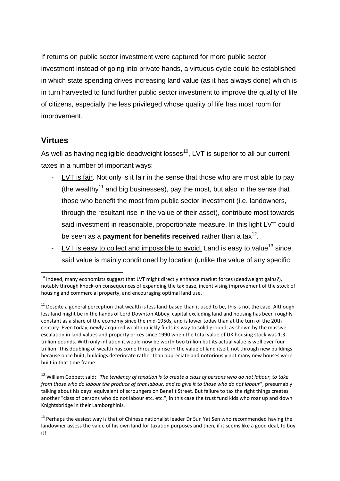If returns on public sector investment were captured for more public sector investment instead of going into private hands, a virtuous cycle could be established in which state spending drives increasing land value (as it has always done) which is in turn harvested to fund further public sector investment to improve the quality of life of citizens, especially the less privileged whose quality of life has most room for improvement.

#### **Virtues**

**.** 

As well as having negligible deadweight losses<sup>10</sup>, LVT is superior to all our current taxes in a number of important ways:

- LVT is fair. Not only is it fair in the sense that those who are most able to pay (the wealthy<sup>11</sup> and big businesses), pay the most, but also in the sense that those who benefit the most from public sector investment (i.e. landowners, through the resultant rise in the value of their asset), contribute most towards said investment in reasonable, proportionate measure. In this light LVT could be seen as a **payment for benefits received** rather than a tax<sup>12</sup>.
- LVT is easy to collect and impossible to avoid. Land is easy to value<sup>13</sup> since said value is mainly conditioned by location (unlike the value of any specific

<sup>12</sup> William Cobbett said: "*The tendency of taxation is to create a class of persons who do not labour, to take from those who do labour the produce of that labour, and to give it to those who do not labour*", presumably talking about his days' equivalent of scroungers on Benefit Street. But failure to tax the right things creates another "class of persons who do not labour etc. etc.", in this case the trust fund kids who roar up and down Knightsbridge in their Lamborghinis.

 $^{10}$  Indeed, many economists suggest that LVT might directly enhance market forces (deadweight gains?), notably through knock-on consequences of expanding the tax base, incentivising improvement of the stock of housing and commercial property, and encouraging optimal land use.

 $11$  Despite a general perception that wealth is less land-based than it used to be, this is not the case. Although less land might be in the hands of Lord Downton Abbey, capital excluding land and housing has been roughly constant as a share of the economy since the mid-1950s, and is lower today than at the turn of the 20th century. Even today, newly acquired wealth quickly finds its way to solid ground, as shown by the massive escalation in land values and property prices since 1990 when the total value of UK housing stock was 1.3 trillion pounds. With only inflation it would now be worth two trillion but its actual value is well over four trillion. This doubling of wealth has come through a rise in the value of land itself, not through new buildings because once built, buildings deteriorate rather than appreciate and notoriously not many new houses were built in that time frame.

<sup>&</sup>lt;sup>13</sup> Perhaps the easiest way is that of Chinese nationalist leader Dr Sun Yat Sen who recommended having the landowner assess the value of his own land for taxation purposes and then, if it seems like a good deal, to buy it!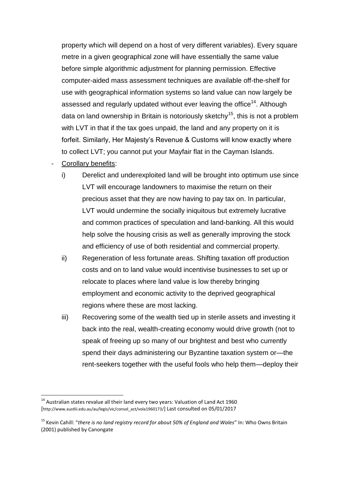property which will depend on a host of very different variables). Every square metre in a given geographical zone will have essentially the same value before simple algorithmic adjustment for planning permission. Effective computer-aided mass assessment techniques are available off-the-shelf for use with geographical information systems so land value can now largely be assessed and regularly updated without ever leaving the office<sup>14</sup>. Although data on land ownership in Britain is notoriously sketchy<sup>15</sup>, this is not a problem with LVT in that if the tax goes unpaid, the land and any property on it is forfeit. Similarly, Her Majesty's Revenue & Customs will know exactly where to collect LVT; you cannot put your Mayfair flat in the Cayman Islands.

Corollary benefits:

- i) Derelict and underexploited land will be brought into optimum use since LVT will encourage landowners to maximise the return on their precious asset that they are now having to pay tax on. In particular, LVT would undermine the socially iniquitous but extremely lucrative and common practices of speculation and land-banking. All this would help solve the housing crisis as well as generally improving the stock and efficiency of use of both residential and commercial property.
- ii) Regeneration of less fortunate areas. Shifting taxation off production costs and on to land value would incentivise businesses to set up or relocate to places where land value is low thereby bringing employment and economic activity to the deprived geographical regions where these are most lacking.
- iii) Recovering some of the wealth tied up in sterile assets and investing it back into the real, wealth-creating economy would drive growth (not to speak of freeing up so many of our brightest and best who currently spend their days administering our Byzantine taxation system or—the rent-seekers together with the useful fools who help them—deploy their

<sup>&</sup>lt;sup>14</sup> Australian states revalue all their land every two years: Valuation of Land Act 1960 [http://www.austlii.edu.au/au/legis/vic/consol\_act/vola1960173/] Last consulted on 05/01/2017

<sup>15</sup> Kevin Cahill: "*there is no land registry record for about 50% of England and Wales*" In: Who Owns Britain (2001) published by Canongate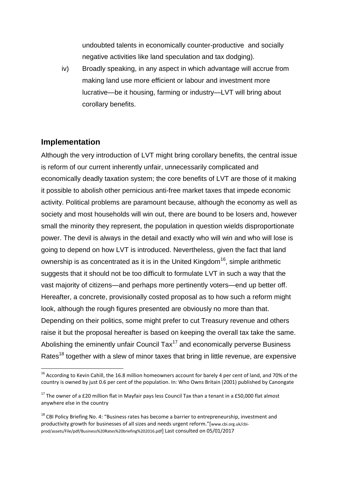undoubted talents in economically counter-productive and socially negative activities like land speculation and tax dodging).

iv) Broadly speaking, in any aspect in which advantage will accrue from making land use more efficient or labour and investment more lucrative—be it housing, farming or industry—LVT will bring about corollary benefits.

#### **Implementation**

**.** 

Although the very introduction of LVT might bring corollary benefits, the central issue is reform of our current inherently unfair, unnecessarily complicated and economically deadly taxation system; the core benefits of LVT are those of it making it possible to abolish other pernicious anti-free market taxes that impede economic activity. Political problems are paramount because, although the economy as well as society and most households will win out, there are bound to be losers and, however small the minority they represent, the population in question wields disproportionate power. The devil is always in the detail and exactly who will win and who will lose is going to depend on how LVT is introduced. Nevertheless, given the fact that land ownership is as concentrated as it is in the United Kingdom<sup>16</sup>, simple arithmetic suggests that it should not be too difficult to formulate LVT in such a way that the vast majority of citizens—and perhaps more pertinently voters—end up better off. Hereafter, a concrete, provisionally costed proposal as to how such a reform might look, although the rough figures presented are obviously no more than that. Depending on their politics, some might prefer to cut Treasury revenue and others raise it but the proposal hereafter is based on keeping the overall tax take the same. Abolishing the eminently unfair Council  $\text{Tax}^{17}$  and economically perverse Business Rates<sup>18</sup> together with a slew of minor taxes that bring in little revenue, are expensive

<sup>&</sup>lt;sup>16</sup> According to Kevin Cahill, the 16.8 million homeowners account for barely 4 per cent of land, and 70% of the country is owned by just 0.6 per cent of the population. In: Who Owns Britain (2001) published by Canongate

 $17$  The owner of a £20 million flat in Mayfair pays less Council Tax than a tenant in a £50,000 flat almost anywhere else in the country

<sup>&</sup>lt;sup>18</sup> CBI Policy Briefing No. 4: "Business rates has become a barrier to entrepreneurship, investment and productivity growth for businesses of all sizes and needs urgent reform."[www.cbi.org.uk/cbiprod/assets/File/pdf/Business%20Rates%20briefing%202016.pdf] Last consulted on 05/01/2017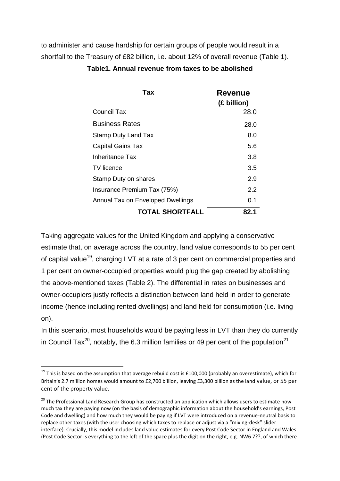to administer and cause hardship for certain groups of people would result in a shortfall to the Treasury of £82 billion, i.e. about 12% of overall revenue (Table 1).

| Tax                               | <b>Revenue</b><br>(£ billion) |
|-----------------------------------|-------------------------------|
| <b>Council Tax</b>                | 28.0                          |
| <b>Business Rates</b>             | 28.0                          |
| <b>Stamp Duty Land Tax</b>        | 8.0                           |
| <b>Capital Gains Tax</b>          | 5.6                           |
| Inheritance Tax                   | 3.8                           |
| <b>TV</b> licence                 | 3.5                           |
| Stamp Duty on shares              | 2.9                           |
| Insurance Premium Tax (75%)       | 2.2                           |
| Annual Tax on Enveloped Dwellings | 0.1                           |
| <b>TOTAL SHORTFALL</b>            | 82.1                          |

#### **Table1. Annual revenue from taxes to be abolished**

Taking aggregate values for the United Kingdom and applying a conservative estimate that, on average across the country, land value corresponds to 55 per cent of capital value<sup>19</sup>, charging LVT at a rate of 3 per cent on commercial properties and 1 per cent on owner-occupied properties would plug the gap created by abolishing the above-mentioned taxes (Table 2). The differential in rates on businesses and owner-occupiers justly reflects a distinction between land held in order to generate income (hence including rented dwellings) and land held for consumption (i.e. living on).

In this scenario, most households would be paying less in LVT than they do currently in Council Tax<sup>20</sup>, notably, the 6.3 million families or 49 per cent of the population<sup>21</sup>

<sup>&</sup>lt;sup>19</sup> This is based on the assumption that average rebuild cost is £100,000 (probably an overestimate), which for Britain's 2.7 million homes would amount to £2,700 billion, leaving £3,300 billion as the land value, or 55 per cent of the property value.

<sup>&</sup>lt;sup>20</sup> The Professional Land Research Group has constructed an application which allows users to estimate how much tax they are paying now (on the basis of demographic information about the household's earnings, Post Code and dwelling) and how much they would be paying if LVT were introduced on a revenue-neutral basis to replace other taxes (with the user choosing which taxes to replace or adjust via a "mixing-desk" slider interface). Crucially, this model includes land value estimates for every Post Code Sector in England and Wales (Post Code Sector is everything to the left of the space plus the digit on the right, e.g. NW6 7??, of which there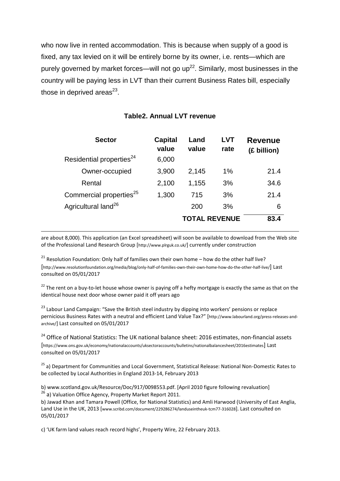who now live in rented accommodation. This is because when supply of a good is fixed, any tax levied on it will be entirely borne by its owner, i.e. rents—which are purely governed by market forces—will not go  $up^{22}$ . Similarly, most businesses in the country will be paying less in LVT than their current Business Rates bill, especially those in deprived areas $^{23}$ .

| <b>Sector</b>                        | <b>Capital</b><br>value | Land<br>value        | <b>LVT</b><br>rate | <b>Revenue</b><br>(£ billion) |
|--------------------------------------|-------------------------|----------------------|--------------------|-------------------------------|
| Residential properties <sup>24</sup> | 6,000                   |                      |                    |                               |
| Owner-occupied                       | 3,900                   | 2,145                | 1%                 | 21.4                          |
| Rental                               | 2,100                   | 1,155                | 3%                 | 34.6                          |
| Commercial properties <sup>25</sup>  | 1,300                   | 715                  | 3%                 | 21.4                          |
| Agricultural land <sup>26</sup>      |                         | 200                  | 3%                 | 6                             |
|                                      |                         | <b>TOTAL REVENUE</b> |                    | 83.4                          |

#### **Table2. Annual LVT revenue**

are about 8,000). This application (an Excel spreadsheet) will soon be available to download from the Web site of the Professional Land Research Group [http://www.plrguk.co.uk/] currently under construction

<sup>21</sup> Resolution Foundation: Only half of families own their own home – how do the other half live? [http://www.resolutionfoundation.org/media/blog/only-half-of-families-own-their-own-home-how-do-the-other-half-live/] Last consulted on 05/01/2017

**.** 

<sup>22</sup> The rent on a buy-to-let house whose owner is paying off a hefty mortgage is exactly the same as that on the identical house next door whose owner paid it off years ago

<sup>23</sup> Labour Land Campaign: "Save the British steel industry by dipping into workers' pensions or replace pernicious Business Rates with a neutral and efficient Land Value Tax?" [http://www.labourland.org/press-releases-andarchive/] Last consulted on 05/01/2017

<sup>24</sup> Office of National Statistics: The UK national balance sheet: 2016 estimates, non-financial assets [https://www.ons.gov.uk/economy/nationalaccounts/uksectoraccounts/bulletins/nationalbalancesheet/2016estimates] Last consulted on 05/01/2017

<sup>25</sup> a) Department for Communities and Local Government, Statistical Release: National Non-Domestic Rates to be collected by Local Authorities in England 2013-14, February 2013

b) www.scotland.gov.uk/Resource/Doc/917/0098553.pdf. [April 2010 figure following revaluation] <sup>26</sup> a) Valuation Office Agency, Property Market Report 2011.

b) Jawad Khan and Tamara Powell (Office, for National Statistics) and Amli Harwood (University of East Anglia, Land Use in the UK, 2013 [www.scribd.com/document/229286274/landuseintheuk-tcm77-316028]. Last consulted on 05/01/2017

c) 'UK farm land values reach record highs', Property Wire, 22 February 2013.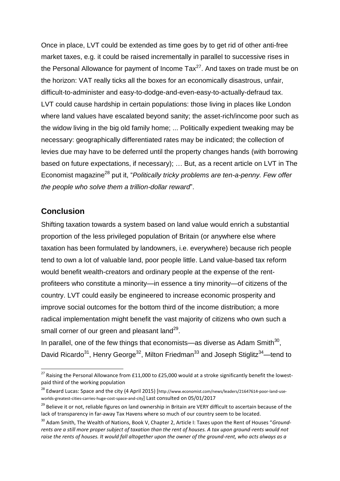Once in place, LVT could be extended as time goes by to get rid of other anti-free market taxes, e.g. it could be raised incrementally in parallel to successive rises in the Personal Allowance for payment of Income  $\text{Tax}^{27}$ . And taxes on trade must be on the horizon: VAT really ticks all the boxes for an economically disastrous, unfair, difficult-to-administer and easy-to-dodge-and-even-easy-to-actually-defraud tax. LVT could cause hardship in certain populations: those living in places like London where land values have escalated beyond sanity; the asset-rich/income poor such as the widow living in the big old family home; ... Politically expedient tweaking may be necessary: geographically differentiated rates may be indicated; the collection of levies due may have to be deferred until the property changes hands (with borrowing based on future expectations, if necessary); … But, as a recent article on LVT in The Economist magazine<sup>28</sup> put it, "*Politically tricky problems are ten-a-penny. Few offer the people who solve them a trillion-dollar reward*".

#### **Conclusion**

1

Shifting taxation towards a system based on land value would enrich a substantial proportion of the less privileged population of Britain (or anywhere else where taxation has been formulated by landowners, i.e. everywhere) because rich people tend to own a lot of valuable land, poor people little. Land value-based tax reform would benefit wealth-creators and ordinary people at the expense of the rentprofiteers who constitute a minority—in essence a tiny minority—of citizens of the country. LVT could easily be engineered to increase economic prosperity and improve social outcomes for the bottom third of the income distribution; a more radical implementation might benefit the vast majority of citizens who own such a small corner of our green and pleasant land<sup>29</sup>.

In parallel, one of the few things that economists—as diverse as Adam Smith $^{30}$ , David Ricardo<sup>31</sup>, Henry George<sup>32</sup>, Milton Friedman<sup>33</sup> and Joseph Stiglitz<sup>34</sup>—tend to

<sup>&</sup>lt;sup>27</sup> Raising the Personal Allowance from £11,000 to £25,000 would at a stroke significantly benefit the lowestpaid third of the working population

<sup>&</sup>lt;sup>28</sup> Edward Lucas: Space and the city (4 April 2015) [http://www.economist.com/news/leaders/21647614-poor-land-useworlds-greatest-cities-carries-huge-cost-space-and-city] Last consulted on 05/01/2017

<sup>&</sup>lt;sup>29</sup> Believe it or not, reliable figures on land ownership in Britain are VERY difficult to ascertain because of the lack of transparency in far-away Tax Havens where so much of our country seem to be located.

<sup>30</sup> Adam Smith, The Wealth of Nations, [Book V, Chapter 2,](https://en.wikisource.org/wiki/The_Wealth_of_Nations/Book_V/Chapter_2) Article I: Taxes upon the Rent of Houses "*Groundrents are a still more proper subject of taxation than the rent of houses. A tax upon ground-rents would not raise the rents of houses. It would fall altogether upon the owner of the ground-rent, who acts always as a*